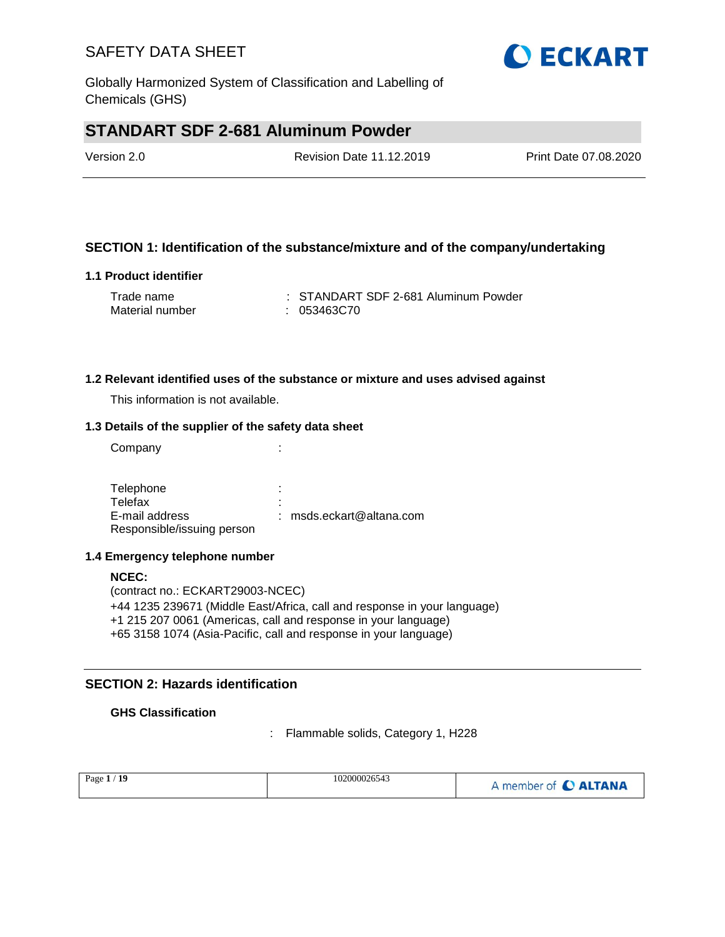Globally Harmonized System of Classification and Labelling of Chemicals (GHS)

# **STANDART SDF 2-681 Aluminum Powder**

| Version 2.0 | <b>Revision Date 11.12.2019</b> | Print Date 07.08.2020 |
|-------------|---------------------------------|-----------------------|
|             |                                 |                       |

### **SECTION 1: Identification of the substance/mixture and of the company/undertaking**

#### **1.1 Product identifier**

| Trade name      | : STANDART SDF 2-681 Aluminum Powder |
|-----------------|--------------------------------------|
| Material number | : 053463C70                          |

#### **1.2 Relevant identified uses of the substance or mixture and uses advised against**

This information is not available.

#### **1.3 Details of the supplier of the safety data sheet**

Company the company of the company of the company  $\mathcal{L}$ :

Telephone : the state of the state of the state of the state of the state of the state of the state of the state of the state of the state of the state of the state of the state of the state of the state of the state of th Telefax : E-mail address Responsible/issuing person : msds.eckart@altana.com

#### **1.4 Emergency telephone number**

**NCEC:** (contract no.: ECKART29003-NCEC) +44 1235 239671 (Middle East/Africa, call and response in your language) +1 215 207 0061 (Americas, call and response in your language) +65 3158 1074 (Asia-Pacific, call and response in your language)

### **SECTION 2: Hazards identification**

#### **GHS Classification**

: Flammable solids, Category 1, H228

| 102000026543<br>Page $1/19$<br>A member of C ALTANA |  |
|-----------------------------------------------------|--|
|-----------------------------------------------------|--|

**OECKART**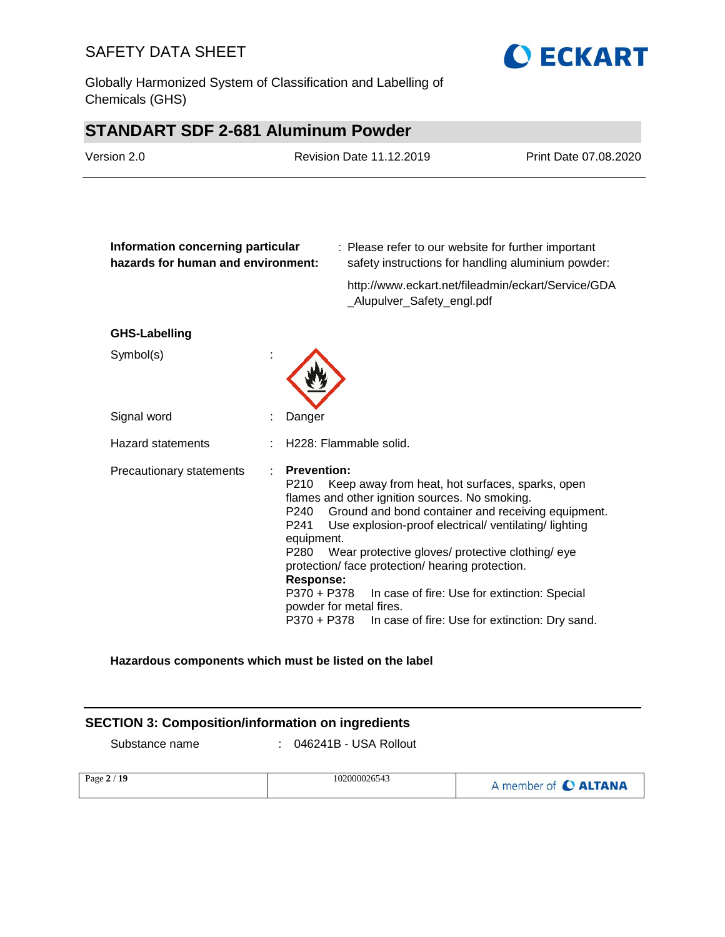Globally Harmonized System of Classification and Labelling of Chemicals (GHS)



# **STANDART SDF 2-681 Aluminum Powder**

| Version 2.0                                                             |  | Revision Date 11.12.2019                                                                                                       |                                                                                                                                                                                                                                                                                                                                                                                                     | Print Date 07.08.2020                              |
|-------------------------------------------------------------------------|--|--------------------------------------------------------------------------------------------------------------------------------|-----------------------------------------------------------------------------------------------------------------------------------------------------------------------------------------------------------------------------------------------------------------------------------------------------------------------------------------------------------------------------------------------------|----------------------------------------------------|
| Information concerning particular<br>hazards for human and environment: |  |                                                                                                                                | : Please refer to our website for further important                                                                                                                                                                                                                                                                                                                                                 | safety instructions for handling aluminium powder: |
|                                                                         |  |                                                                                                                                | _Alupulver_Safety_engl.pdf                                                                                                                                                                                                                                                                                                                                                                          | http://www.eckart.net/fileadmin/eckart/Service/GDA |
| <b>GHS-Labelling</b>                                                    |  |                                                                                                                                |                                                                                                                                                                                                                                                                                                                                                                                                     |                                                    |
| Symbol(s)                                                               |  |                                                                                                                                |                                                                                                                                                                                                                                                                                                                                                                                                     |                                                    |
| Signal word                                                             |  | Danger                                                                                                                         |                                                                                                                                                                                                                                                                                                                                                                                                     |                                                    |
| <b>Hazard statements</b>                                                |  |                                                                                                                                | H228: Flammable solid.                                                                                                                                                                                                                                                                                                                                                                              |                                                    |
| Precautionary statements                                                |  | <b>Prevention:</b><br>P210<br>P240<br>P241<br>equipment.<br>P <sub>280</sub><br><b>Response:</b><br>P370 + P378<br>P370 + P378 | Keep away from heat, hot surfaces, sparks, open<br>flames and other ignition sources. No smoking.<br>Ground and bond container and receiving equipment.<br>Use explosion-proof electrical/ ventilating/ lighting<br>Wear protective gloves/ protective clothing/ eye<br>protection/ face protection/ hearing protection.<br>In case of fire: Use for extinction: Special<br>powder for metal fires. | In case of fire: Use for extinction: Dry sand.     |

#### **Hazardous components which must be listed on the label**

### **SECTION 3: Composition/information on ingredients**

Substance name : 046241B - USA Rollout

| Page 2 / 19 | 102000026543 | A member of C ALTANA |
|-------------|--------------|----------------------|
|             |              |                      |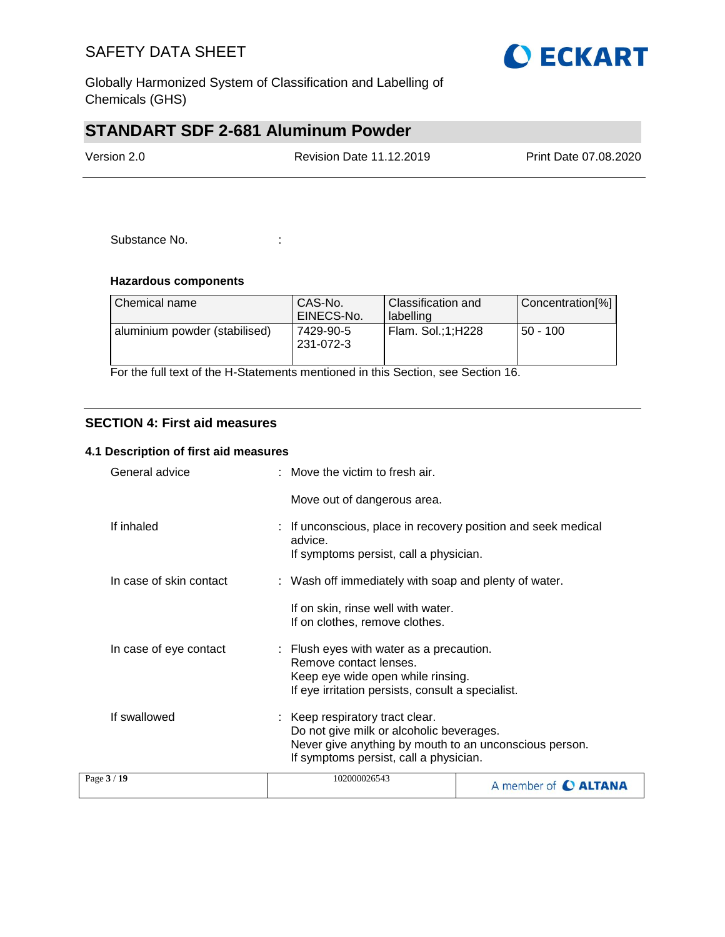

Globally Harmonized System of Classification and Labelling of Chemicals (GHS)

# **STANDART SDF 2-681 Aluminum Powder**

| Version 2.0 | <b>Revision Date 11.12.2019</b> | Print Date 07.08.2020 |
|-------------|---------------------------------|-----------------------|
|             |                                 |                       |

Substance No. **:**  $\qquad \qquad$  :

#### **Hazardous components**

| l Chemical name               | CAS-No.<br>EINECS-No.  | <b>Classification and</b><br>labelling | Concentration[%] |
|-------------------------------|------------------------|----------------------------------------|------------------|
| aluminium powder (stabilised) | 7429-90-5<br>231-072-3 | Flam. Sol.;1;H228                      | $50 - 100$       |

For the full text of the H-Statements mentioned in this Section, see Section 16.

### **SECTION 4: First aid measures**

#### **4.1 Description of first aid measures**

| Page 3 / 19             | 102000026543                                                                                                                                                                  | A member of C ALTANA |
|-------------------------|-------------------------------------------------------------------------------------------------------------------------------------------------------------------------------|----------------------|
| If swallowed            | Keep respiratory tract clear.<br>Do not give milk or alcoholic beverages.<br>Never give anything by mouth to an unconscious person.<br>If symptoms persist, call a physician. |                      |
| In case of eye contact  | : Flush eyes with water as a precaution.<br>Remove contact lenses.<br>Keep eye wide open while rinsing.<br>If eye irritation persists, consult a specialist.                  |                      |
|                         | If on skin, rinse well with water.<br>If on clothes, remove clothes.                                                                                                          |                      |
| In case of skin contact | : Wash off immediately with soap and plenty of water.                                                                                                                         |                      |
| If inhaled              | : If unconscious, place in recovery position and seek medical<br>advice.<br>If symptoms persist, call a physician.                                                            |                      |
|                         | Move out of dangerous area.                                                                                                                                                   |                      |
| General advice          | $\therefore$ Move the victim to fresh air.                                                                                                                                    |                      |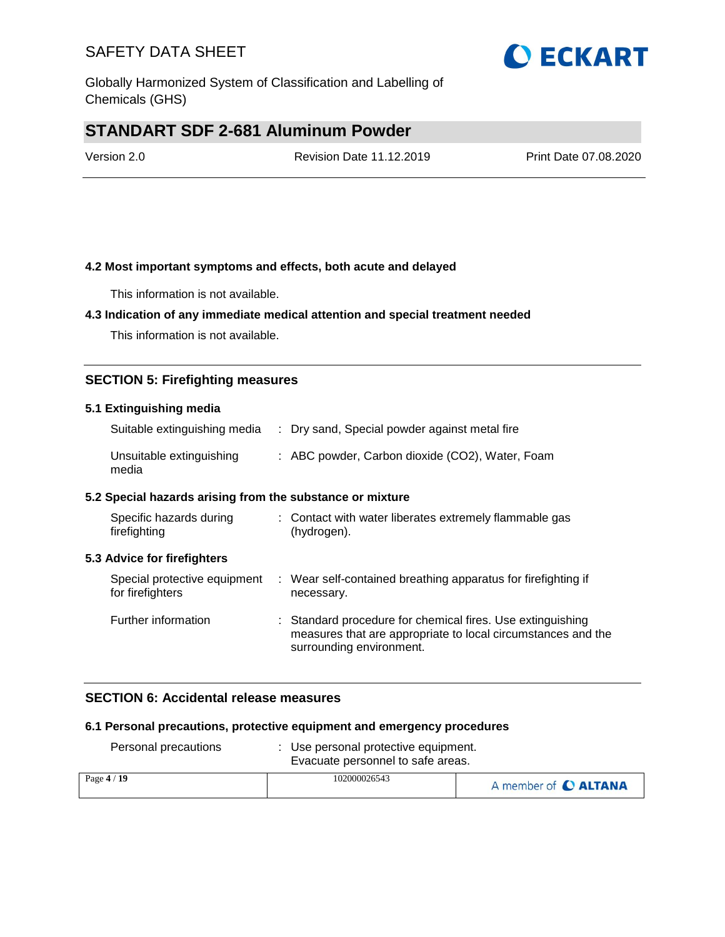

# **STANDART SDF 2-681 Aluminum Powder**

Version 2.0 Revision Date 11.12.2019 Print Date 07.08.2020

### **4.2 Most important symptoms and effects, both acute and delayed**

This information is not available.

### **4.3 Indication of any immediate medical attention and special treatment needed**

This information is not available.

### **SECTION 5: Firefighting measures**

#### **5.1 Extinguishing media**

| Suitable extinguishing media      | : Dry sand, Special powder against metal fire   |
|-----------------------------------|-------------------------------------------------|
| Unsuitable extinguishing<br>media | : ABC powder, Carbon dioxide (CO2), Water, Foam |

#### **5.2 Special hazards arising from the substance or mixture**

| Specific hazards during<br>firefighting          | : Contact with water liberates extremely flammable gas<br>(hydrogen).                                                                                  |
|--------------------------------------------------|--------------------------------------------------------------------------------------------------------------------------------------------------------|
| 5.3 Advice for firefighters                      |                                                                                                                                                        |
| Special protective equipment<br>for firefighters | : Wear self-contained breathing apparatus for firefighting if<br>necessary.                                                                            |
| Further information                              | : Standard procedure for chemical fires. Use extinguishing<br>measures that are appropriate to local circumstances and the<br>surrounding environment. |

### **SECTION 6: Accidental release measures**

#### **6.1 Personal precautions, protective equipment and emergency procedures**

| Personal precautions | Use personal protective equipment.<br>Evacuate personnel to safe areas. |                      |
|----------------------|-------------------------------------------------------------------------|----------------------|
| Page $4/19$          | 102000026543                                                            | A member of C ALTANA |

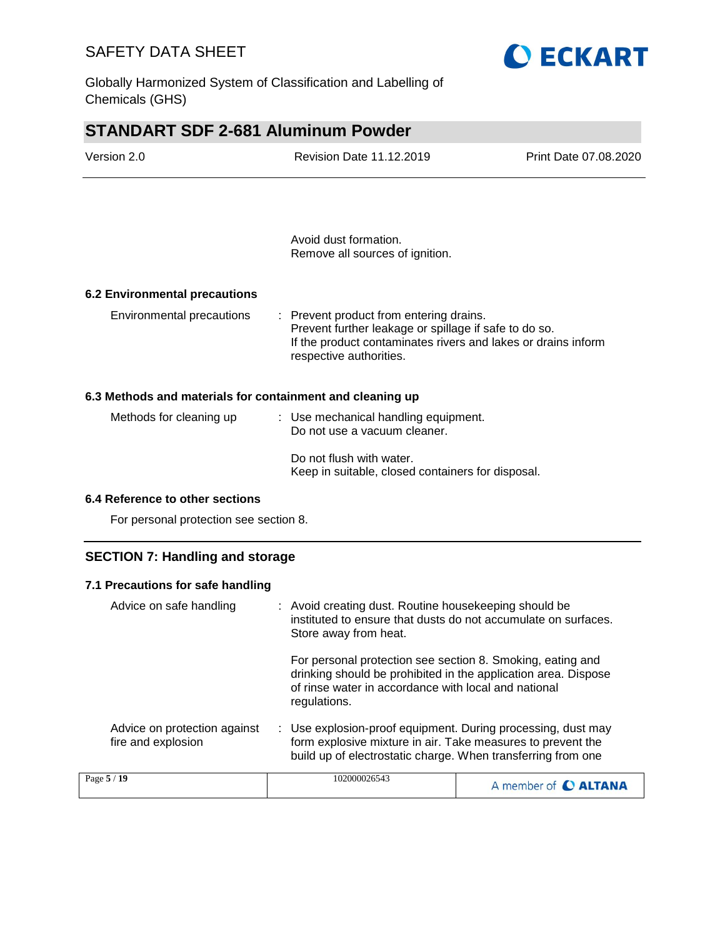Globally Harmonized System of Classification and Labelling of Chemicals (GHS)



| <b>STANDART SDF 2-681 Aluminum Powder</b>                 |                                                                                                                                                                                              |                       |  |  |  |
|-----------------------------------------------------------|----------------------------------------------------------------------------------------------------------------------------------------------------------------------------------------------|-----------------------|--|--|--|
| Version 2.0                                               | <b>Revision Date 11.12.2019</b>                                                                                                                                                              | Print Date 07.08.2020 |  |  |  |
|                                                           |                                                                                                                                                                                              |                       |  |  |  |
|                                                           | Avoid dust formation.<br>Remove all sources of ignition.                                                                                                                                     |                       |  |  |  |
| <b>6.2 Environmental precautions</b>                      |                                                                                                                                                                                              |                       |  |  |  |
| Environmental precautions                                 | : Prevent product from entering drains.<br>Prevent further leakage or spillage if safe to do so.<br>If the product contaminates rivers and lakes or drains inform<br>respective authorities. |                       |  |  |  |
| 6.3 Methods and materials for containment and cleaning up |                                                                                                                                                                                              |                       |  |  |  |
| Methods for cleaning up                                   | : Use mechanical handling equipment.<br>Do not use a vacuum cleaner.                                                                                                                         |                       |  |  |  |
|                                                           | Do not flush with water.<br>Keep in suitable, closed containers for disposal.                                                                                                                |                       |  |  |  |

#### **6.4 Reference to other sections**

For personal protection see section 8.

## **SECTION 7: Handling and storage**

### **7.1 Precautions for safe handling**

| Advice on safe handling                            |  | : Avoid creating dust. Routine housekeeping should be<br>instituted to ensure that dusts do not accumulate on surfaces.<br>Store away from heat.                                                     |                             |
|----------------------------------------------------|--|------------------------------------------------------------------------------------------------------------------------------------------------------------------------------------------------------|-----------------------------|
|                                                    |  | For personal protection see section 8. Smoking, eating and<br>drinking should be prohibited in the application area. Dispose<br>of rinse water in accordance with local and national<br>regulations. |                             |
| Advice on protection against<br>fire and explosion |  | : Use explosion-proof equipment. During processing, dust may<br>form explosive mixture in air. Take measures to prevent the<br>build up of electrostatic charge. When transferring from one          |                             |
| Page 5 / 19                                        |  | 102000026543                                                                                                                                                                                         | A member of <b>C ALTANA</b> |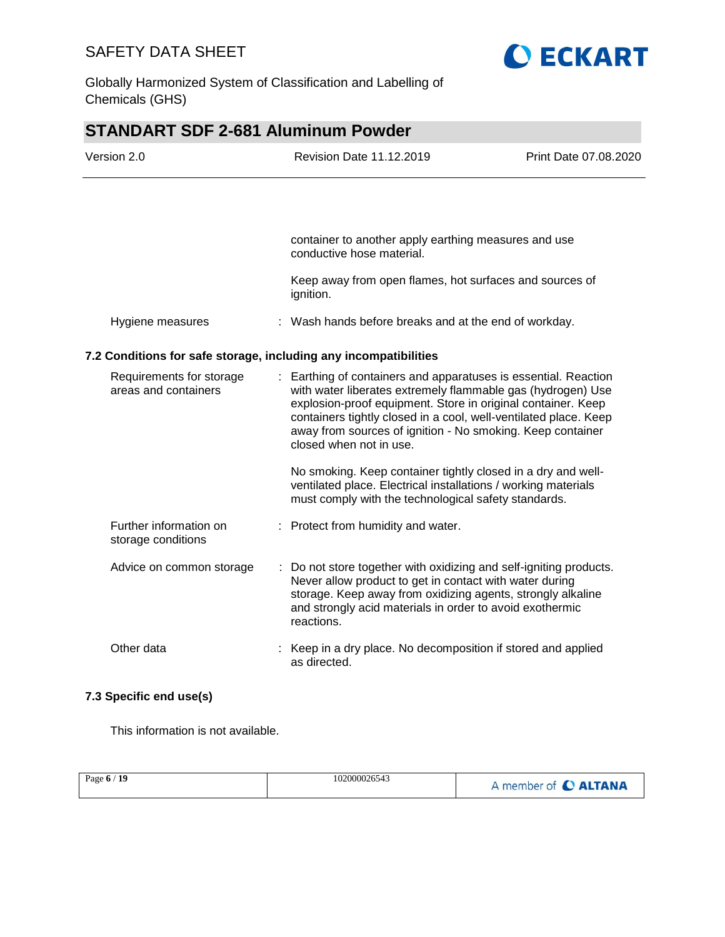

Globally Harmonized System of Classification and Labelling of Chemicals (GHS)

# **STANDART SDF 2-681 Aluminum Powder**

| Version 2.0                                                                 |  | <b>Revision Date 11.12.2019</b>                                                                                                                                                                                                                                                                                                  | Print Date 07.08.2020 |
|-----------------------------------------------------------------------------|--|----------------------------------------------------------------------------------------------------------------------------------------------------------------------------------------------------------------------------------------------------------------------------------------------------------------------------------|-----------------------|
|                                                                             |  |                                                                                                                                                                                                                                                                                                                                  |                       |
|                                                                             |  | container to another apply earthing measures and use<br>conductive hose material.                                                                                                                                                                                                                                                |                       |
|                                                                             |  | Keep away from open flames, hot surfaces and sources of<br>ignition.                                                                                                                                                                                                                                                             |                       |
| Hygiene measures                                                            |  | : Wash hands before breaks and at the end of workday.                                                                                                                                                                                                                                                                            |                       |
| 7.2 Conditions for safe storage, including any incompatibilities            |  |                                                                                                                                                                                                                                                                                                                                  |                       |
| Requirements for storage<br>areas and containers<br>closed when not in use. |  | : Earthing of containers and apparatuses is essential. Reaction<br>with water liberates extremely flammable gas (hydrogen) Use<br>explosion-proof equipment. Store in original container. Keep<br>containers tightly closed in a cool, well-ventilated place. Keep<br>away from sources of ignition - No smoking. Keep container |                       |
|                                                                             |  | No smoking. Keep container tightly closed in a dry and well-<br>ventilated place. Electrical installations / working materials<br>must comply with the technological safety standards.                                                                                                                                           |                       |
| Further information on<br>storage conditions                                |  | : Protect from humidity and water.                                                                                                                                                                                                                                                                                               |                       |
| Advice on common storage                                                    |  | : Do not store together with oxidizing and self-igniting products.<br>Never allow product to get in contact with water during<br>storage. Keep away from oxidizing agents, strongly alkaline<br>and strongly acid materials in order to avoid exothermic<br>reactions.                                                           |                       |
| Other data                                                                  |  | : Keep in a dry place. No decomposition if stored and applied<br>as directed.                                                                                                                                                                                                                                                    |                       |

## **7.3 Specific end use(s)**

This information is not available.

| Page $6/19$ | 102000026543 | A member of C ALTANA |
|-------------|--------------|----------------------|
|             |              |                      |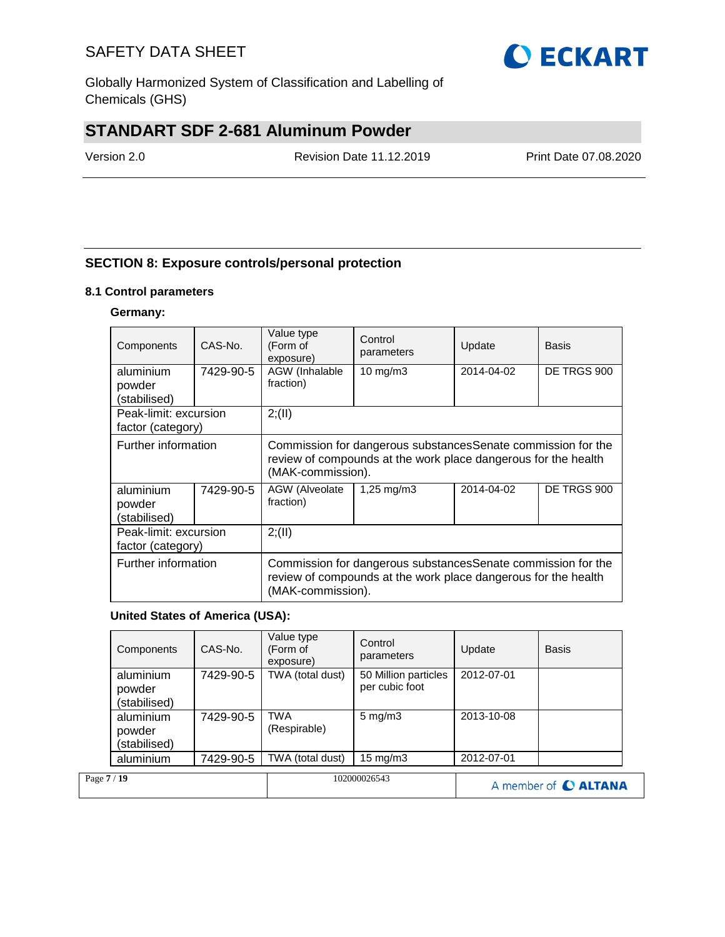

Globally Harmonized System of Classification and Labelling of Chemicals (GHS)

# **STANDART SDF 2-681 Aluminum Powder**

Version 2.0 Revision Date 11.12.2019 Print Date 07.08.2020

## **SECTION 8: Exposure controls/personal protection**

#### **8.1 Control parameters**

### **Germany:**

| Components                                 | CAS-No.   | Value type<br>(Form of<br>exposure)                                                                                                                  | Control<br>parameters | Update     | <b>Basis</b> |
|--------------------------------------------|-----------|------------------------------------------------------------------------------------------------------------------------------------------------------|-----------------------|------------|--------------|
| aluminium<br>powder                        | 7429-90-5 | AGW (Inhalable<br>fraction)                                                                                                                          | 10 mg/m $3$           | 2014-04-02 | DE TRGS 900  |
| (stabilised)                               |           |                                                                                                                                                      |                       |            |              |
| Peak-limit: excursion<br>factor (category) |           | 2; (II)                                                                                                                                              |                       |            |              |
| Further information                        |           | Commission for dangerous substances Senate commission for the<br>review of compounds at the work place dangerous for the health<br>(MAK-commission). |                       |            |              |
| aluminium<br>powder<br>(stabilised)        | 7429-90-5 | 2014-04-02<br>AGW (Alveolate<br>$1,25 \,\mathrm{mq/m3}$<br>fraction)                                                                                 |                       |            | DE TRGS 900  |
| Peak-limit: excursion<br>factor (category) |           | 2; (II)                                                                                                                                              |                       |            |              |
| Further information                        |           | Commission for dangerous substances Senate commission for the<br>review of compounds at the work place dangerous for the health<br>(MAK-commission). |                       |            |              |

#### **United States of America (USA):**

|             | Components                          | CAS-No.   | Value type<br>(Form of<br>exposure) | Control<br>parameters                  | Update     | <b>Basis</b>         |
|-------------|-------------------------------------|-----------|-------------------------------------|----------------------------------------|------------|----------------------|
|             | aluminium<br>powder<br>(stabilised) | 7429-90-5 | TWA (total dust)                    | 50 Million particles<br>per cubic foot | 2012-07-01 |                      |
|             | aluminium<br>powder<br>(stabilised) | 7429-90-5 | <b>TWA</b><br>(Respirable)          | $5 \text{ mg/m}$ 3                     | 2013-10-08 |                      |
|             | aluminium                           | 7429-90-5 | TWA (total dust)                    | $15 \text{ mg/m}$                      | 2012-07-01 |                      |
| Page 7 / 19 |                                     |           |                                     | 102000026543                           |            | A member of C ALTANA |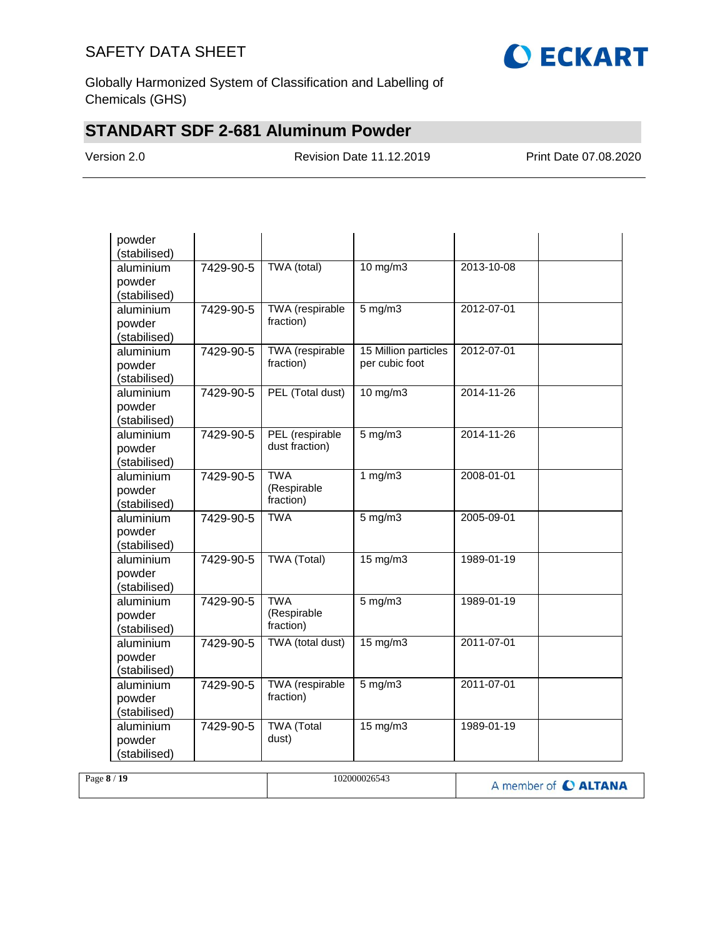

Globally Harmonized System of Classification and Labelling of Chemicals (GHS)

# **STANDART SDF 2-681 Aluminum Powder**

Version 2.0 Revision Date 11.12.2019 Print Date 07.08.2020

| powder<br>(stabilised)              |           |                                        |                                        |            |  |
|-------------------------------------|-----------|----------------------------------------|----------------------------------------|------------|--|
| aluminium<br>powder<br>(stabilised) | 7429-90-5 | TWA (total)                            | $10$ mg/m $3$                          | 2013-10-08 |  |
| aluminium<br>powder<br>(stabilised) | 7429-90-5 | TWA (respirable<br>fraction)           | $5$ mg/m $3$                           | 2012-07-01 |  |
| aluminium<br>powder<br>(stabilised) | 7429-90-5 | <b>TWA</b> (respirable<br>fraction)    | 15 Million particles<br>per cubic foot | 2012-07-01 |  |
| aluminium<br>powder<br>(stabilised) | 7429-90-5 | PEL (Total dust)                       | $10$ mg/m $3$                          | 2014-11-26 |  |
| aluminium<br>powder<br>(stabilised) | 7429-90-5 | PEL (respirable<br>dust fraction)      | $5$ mg/m $3$                           | 2014-11-26 |  |
| aluminium<br>powder<br>(stabilised) | 7429-90-5 | <b>TWA</b><br>(Respirable<br>fraction) | 1 $mg/m3$                              | 2008-01-01 |  |
| aluminium<br>powder<br>(stabilised) | 7429-90-5 | <b>TWA</b>                             | $5 \text{ mg/m}$                       | 2005-09-01 |  |
| aluminium<br>powder<br>(stabilised) | 7429-90-5 | <b>TWA (Total)</b>                     | $15 \text{ mg/m}$                      | 1989-01-19 |  |
| aluminium<br>powder<br>(stabilised) | 7429-90-5 | <b>TWA</b><br>(Respirable<br>fraction) | $5$ mg/m $3$                           | 1989-01-19 |  |
| aluminium<br>powder<br>(stabilised) | 7429-90-5 | TWA (total dust)                       | 15 mg/m3                               | 2011-07-01 |  |
| aluminium<br>powder<br>(stabilised) | 7429-90-5 | TWA (respirable<br>fraction)           | $5$ mg/m $3$                           | 2011-07-01 |  |
| aluminium<br>powder<br>(stabilised) | 7429-90-5 | <b>TWA</b> (Total<br>dust)             | $15 \text{ mg/m}$                      | 1989-01-19 |  |

| Page 8 / 19 | 102000026543 | A member of C ALTANA |
|-------------|--------------|----------------------|
|             |              |                      |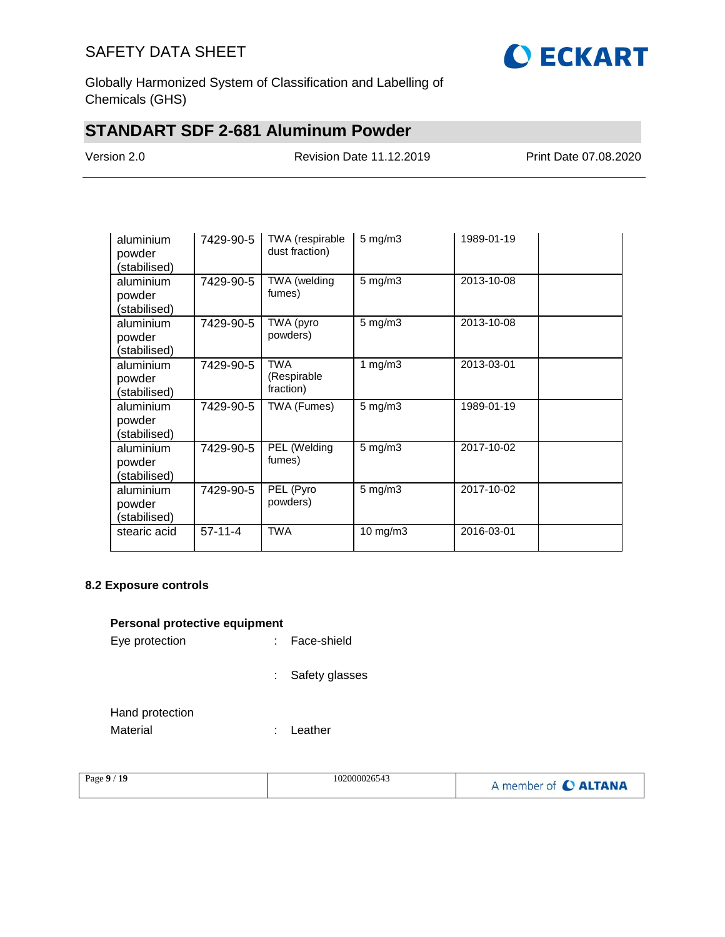

Globally Harmonized System of Classification and Labelling of Chemicals (GHS)

# **STANDART SDF 2-681 Aluminum Powder**

Version 2.0 Revision Date 11.12.2019 Print Date 07.08.2020

| aluminium<br>powder<br>(stabilised) | 7429-90-5 | TWA (respirable<br>dust fraction)      | $5 \text{ mg/m}$ 3 | 1989-01-19 |  |
|-------------------------------------|-----------|----------------------------------------|--------------------|------------|--|
| aluminium<br>powder<br>(stabilised) | 7429-90-5 | TWA (welding<br>fumes)                 | $5$ mg/m $3$       | 2013-10-08 |  |
| aluminium<br>powder<br>(stabilised) | 7429-90-5 | TWA (pyro<br>powders)                  | $5 \text{ mg/m}$ 3 | 2013-10-08 |  |
| aluminium<br>powder<br>(stabilised) | 7429-90-5 | <b>TWA</b><br>(Respirable<br>fraction) | 1 mg/m $3$         | 2013-03-01 |  |
| aluminium<br>powder<br>(stabilised) | 7429-90-5 | TWA (Fumes)                            | $5 \text{ mg/m}$ 3 | 1989-01-19 |  |
| aluminium<br>powder<br>(stabilised) | 7429-90-5 | PEL (Welding<br>fumes)                 | $5 \text{ mg/m}$ 3 | 2017-10-02 |  |
| aluminium<br>powder<br>(stabilised) | 7429-90-5 | PEL (Pyro<br>powders)                  | $5 \text{ mg/m}$ 3 | 2017-10-02 |  |
| stearic acid                        | $57-11-4$ | <b>TWA</b>                             | 10 mg/m3           | 2016-03-01 |  |

#### **8.2 Exposure controls**

#### **Personal protective equipment**

| Eye protection |  | Face-shield |
|----------------|--|-------------|
|----------------|--|-------------|

: Safety glasses

: Leather

| Hand protection |  |
|-----------------|--|
| Material        |  |

| Page $9/19$ | 102000026543 | A member of C ALTANA |
|-------------|--------------|----------------------|
|             |              |                      |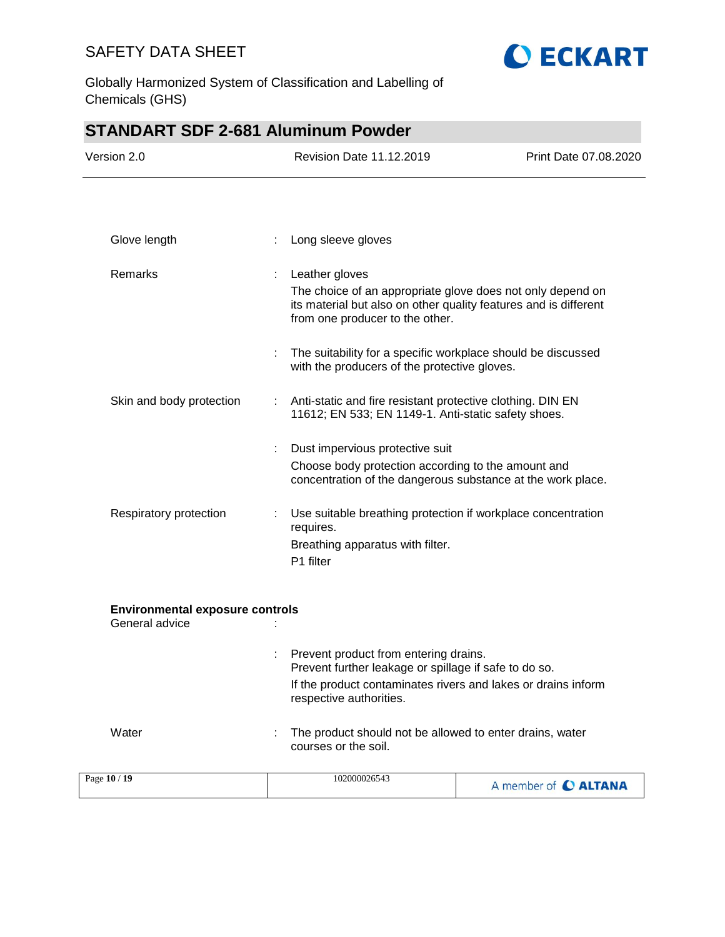

Globally Harmonized System of Classification and Labelling of Chemicals (GHS)

| <b>STANDART SDF 2-681 Aluminum Powder</b>                |   |                                                                                                                                                                                            |                       |
|----------------------------------------------------------|---|--------------------------------------------------------------------------------------------------------------------------------------------------------------------------------------------|-----------------------|
| Version 2.0                                              |   | Revision Date 11.12.2019                                                                                                                                                                   | Print Date 07.08.2020 |
|                                                          |   |                                                                                                                                                                                            |                       |
|                                                          |   |                                                                                                                                                                                            |                       |
| Glove length                                             |   | Long sleeve gloves                                                                                                                                                                         |                       |
| Remarks                                                  | ÷ | Leather gloves<br>The choice of an appropriate glove does not only depend on<br>its material but also on other quality features and is different<br>from one producer to the other.        |                       |
|                                                          |   | The suitability for a specific workplace should be discussed<br>with the producers of the protective gloves.                                                                               |                       |
| Skin and body protection                                 | ÷ | Anti-static and fire resistant protective clothing. DIN EN<br>11612; EN 533; EN 1149-1. Anti-static safety shoes.                                                                          |                       |
|                                                          |   | Dust impervious protective suit<br>Choose body protection according to the amount and<br>concentration of the dangerous substance at the work place.                                       |                       |
| Respiratory protection                                   |   | Use suitable breathing protection if workplace concentration<br>requires.<br>Breathing apparatus with filter.<br>P1 filter                                                                 |                       |
| <b>Environmental exposure controls</b><br>General advice |   |                                                                                                                                                                                            |                       |
|                                                          |   | Prevent product from entering drains.<br>Prevent further leakage or spillage if safe to do so.<br>If the product contaminates rivers and lakes or drains inform<br>respective authorities. |                       |
| Water                                                    |   | The product should not be allowed to enter drains, water<br>courses or the soil.                                                                                                           |                       |
| Page 10 / 19                                             |   | 102000026543                                                                                                                                                                               | A member of C ALTANA  |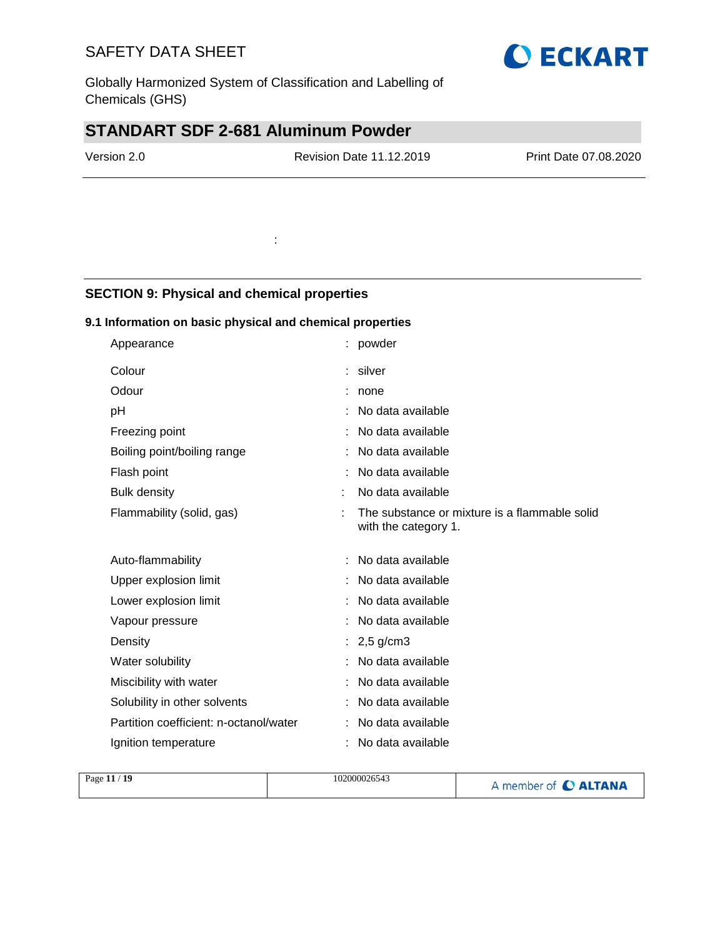Globally Harmonized System of Classification and Labelling of Chemicals (GHS)

:

# **STANDART SDF 2-681 Aluminum Powder**

Revision Date 11.12.2019 Print Date 07.08.2020

## **SECTION 9: Physical and chemical properties**

## **9.1 Information on basic physical and chemical properties**

| Appearance                             | powder                                                                |
|----------------------------------------|-----------------------------------------------------------------------|
| Colour                                 | silver                                                                |
| Odour                                  | none                                                                  |
| pH                                     | No data available                                                     |
| Freezing point                         | No data available                                                     |
| Boiling point/boiling range            | No data available                                                     |
| Flash point                            | No data available                                                     |
| <b>Bulk density</b>                    | No data available                                                     |
| Flammability (solid, gas)              | The substance or mixture is a flammable solid<br>with the category 1. |
| Auto-flammability                      | No data available                                                     |
| Upper explosion limit                  | No data available                                                     |
| Lower explosion limit                  | No data available                                                     |
| Vapour pressure                        | No data available                                                     |
| Density                                | $2,5$ g/cm3                                                           |
| Water solubility                       | No data available                                                     |
| Miscibility with water                 | No data available                                                     |
| Solubility in other solvents           | No data available                                                     |
| Partition coefficient: n-octanol/water | No data available                                                     |
| Ignition temperature                   | No data available                                                     |

| Page 11 / 19 | 102000026543 | A member of C ALTANA |
|--------------|--------------|----------------------|
|              |              |                      |

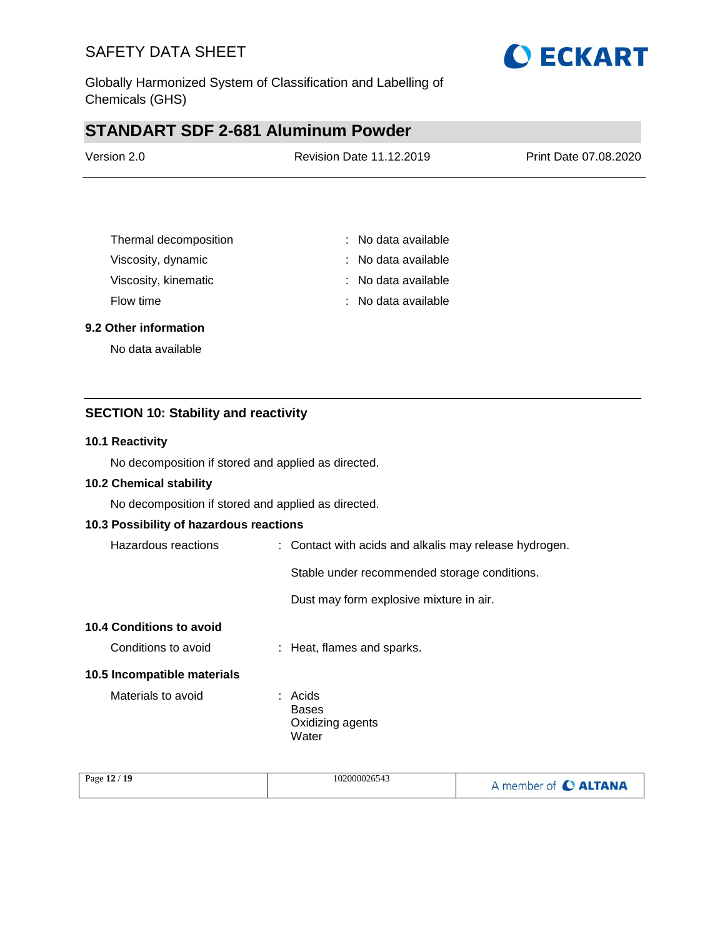

Globally Harmonized System of Classification and Labelling of Chemicals (GHS)

# **STANDART SDF 2-681 Aluminum Powder**

| Version 2.0 | <b>Revision Date 11.12.2019</b> | Print Date 07.08.2020 |
|-------------|---------------------------------|-----------------------|
|             |                                 |                       |

| Thermal decomposition | : No data available |
|-----------------------|---------------------|
| Viscosity, dynamic    | : No data available |
| Viscosity, kinematic  | : No data available |
| Flow time             | : No data available |

#### **9.2 Other information**

No data available

### **SECTION 10: Stability and reactivity**

#### **10.1 Reactivity**

No decomposition if stored and applied as directed.

#### **10.2 Chemical stability**

No decomposition if stored and applied as directed.

#### **10.3 Possibility of hazardous reactions**

| Hazardous reactions | : Contact with acids and alkalis may release hydrogen. |
|---------------------|--------------------------------------------------------|
|                     |                                                        |

Stable under recommended storage conditions.

Dust may form explosive mixture in air.

#### **10.4 Conditions to avoid**

Conditions to avoid : Heat, flames and sparks.

#### **10.5 Incompatible materials**

Materials to avoid **:** Acids Bases Oxidizing agents Water

| Page 12 / 19 | 102000026543 | A member of C ALTANA |
|--------------|--------------|----------------------|
|--------------|--------------|----------------------|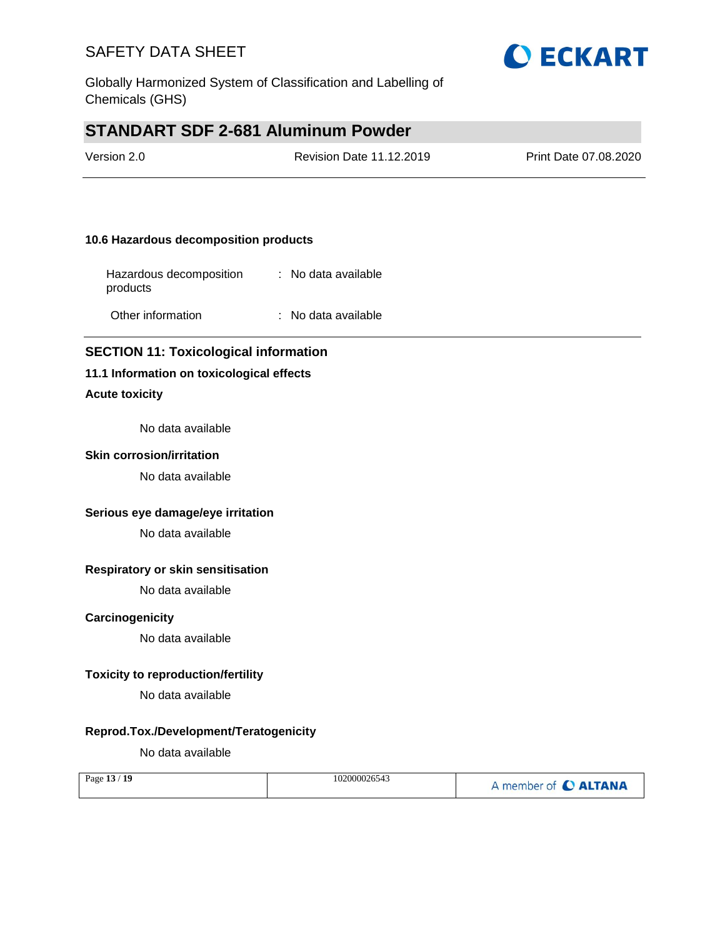

Globally Harmonized System of Classification and Labelling of Chemicals (GHS)

# **STANDART SDF 2-681 Aluminum Powder**

| Version 2.0 | <b>Revision Date 11.12.2019</b> | Print Date 07.08.2020 |
|-------------|---------------------------------|-----------------------|
|             |                                 |                       |

#### **10.6 Hazardous decomposition products**

| Hazardous decomposition<br>products | : No data available   |
|-------------------------------------|-----------------------|
| Other information                   | $:$ No data available |

### **SECTION 11: Toxicological information**

#### **11.1 Information on toxicological effects**

### **Acute toxicity**

No data available

#### **Skin corrosion/irritation**

No data available

#### **Serious eye damage/eye irritation**

No data available

### **Respiratory or skin sensitisation**

No data available

#### **Carcinogenicity**

No data available

#### **Toxicity to reproduction/fertility**

No data available

#### **Reprod.Tox./Development/Teratogenicity**

No data available

|  | Page 13 / 19 | 102000026543 | A member of C ALTANA |
|--|--------------|--------------|----------------------|
|--|--------------|--------------|----------------------|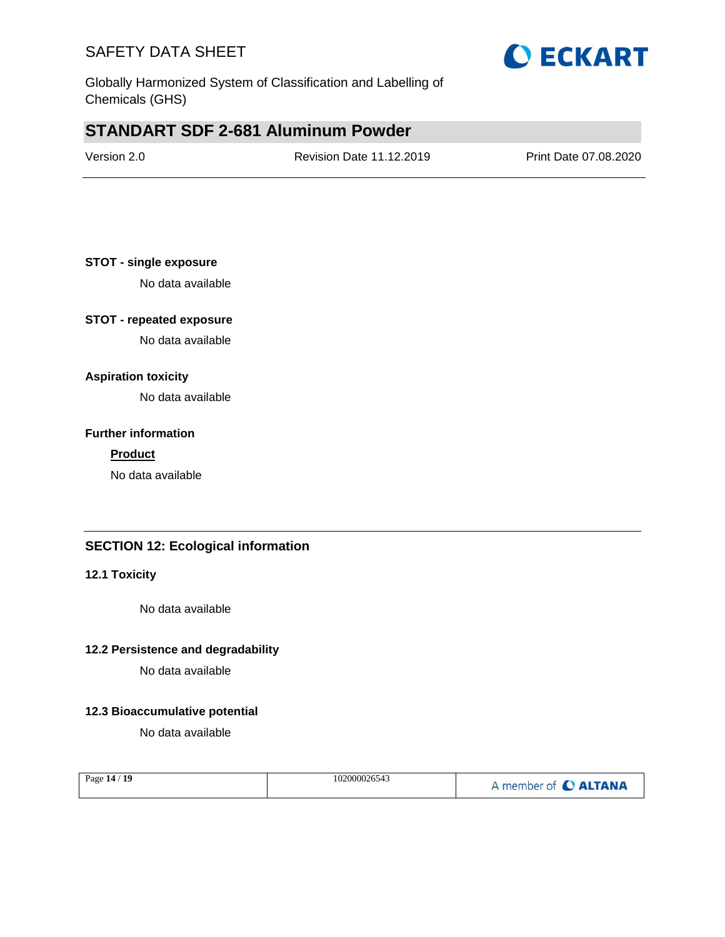



## **STANDART SDF 2-681 Aluminum Powder**

| Version 2.0 | <b>Revision Date 11.12.2019</b> | Print Date 07.08.2020 |
|-------------|---------------------------------|-----------------------|
|             |                                 |                       |

#### **STOT - single exposure**

No data available

### **STOT - repeated exposure**

No data available

### **Aspiration toxicity**

No data available

#### **Further information**

#### **Product**

No data available

### **SECTION 12: Ecological information**

### **12.1 Toxicity**

No data available

#### **12.2 Persistence and degradability**

No data available

#### **12.3 Bioaccumulative potential**

No data available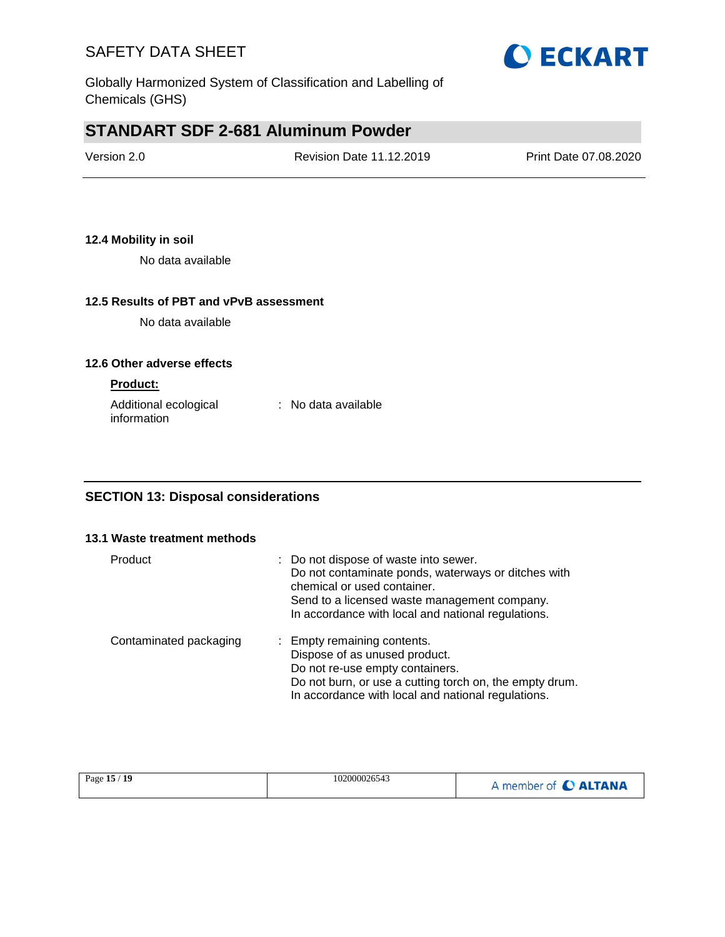

Globally Harmonized System of Classification and Labelling of Chemicals (GHS)

# **STANDART SDF 2-681 Aluminum Powder**

| Version 2.0 | <b>Revision Date 11.12.2019</b> | Print Date 07.08.2020 |
|-------------|---------------------------------|-----------------------|
|             |                                 |                       |

### **12.4 Mobility in soil**

No data available

### **12.5 Results of PBT and vPvB assessment**

No data available

#### **12.6 Other adverse effects**

#### **Product:**

| Additional ecological | : No data available |
|-----------------------|---------------------|
| information           |                     |

### **SECTION 13: Disposal considerations**

#### **13.1 Waste treatment methods**

| Product                | : Do not dispose of waste into sewer.<br>Do not contaminate ponds, waterways or ditches with<br>chemical or used container.<br>Send to a licensed waste management company.<br>In accordance with local and national regulations. |
|------------------------|-----------------------------------------------------------------------------------------------------------------------------------------------------------------------------------------------------------------------------------|
| Contaminated packaging | : Empty remaining contents.<br>Dispose of as unused product.<br>Do not re-use empty containers.<br>Do not burn, or use a cutting torch on, the empty drum.<br>In accordance with local and national regulations.                  |

| Page 15 / 19 | 102000026543 | A member of C ALTANA |
|--------------|--------------|----------------------|
|--------------|--------------|----------------------|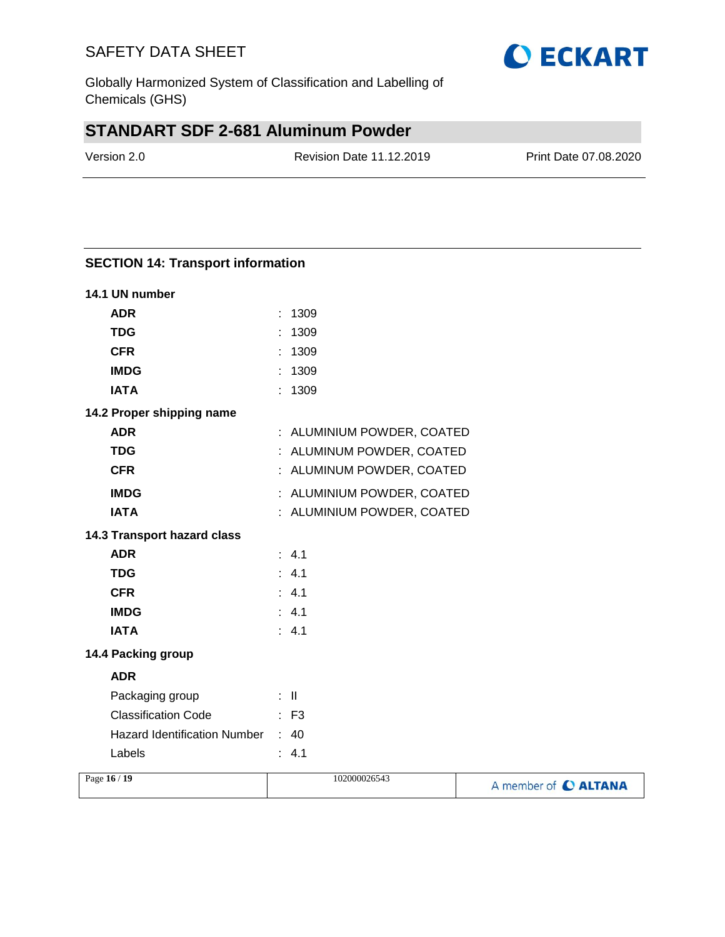Globally Harmonized System of Classification and Labelling of Chemicals (GHS)

# **STANDART SDF 2-681 Aluminum Powder**

Version 2.0 Revision Date 11.12.2019 Print Date 07.08.2020

| <b>SECTION 14: Transport information</b> |                            |                      |
|------------------------------------------|----------------------------|----------------------|
| 14.1 UN number                           |                            |                      |
| <b>ADR</b>                               | : 1309                     |                      |
| <b>TDG</b>                               | : 1309                     |                      |
| <b>CFR</b>                               | : 1309                     |                      |
| <b>IMDG</b>                              | : 1309                     |                      |
| <b>IATA</b>                              | : 1309                     |                      |
| 14.2 Proper shipping name                |                            |                      |
| <b>ADR</b>                               | : ALUMINIUM POWDER, COATED |                      |
| <b>TDG</b>                               | : ALUMINUM POWDER, COATED  |                      |
| <b>CFR</b>                               | : ALUMINUM POWDER, COATED  |                      |
| <b>IMDG</b>                              | : ALUMINIUM POWDER, COATED |                      |
| <b>IATA</b>                              | : ALUMINIUM POWDER, COATED |                      |
| 14.3 Transport hazard class              |                            |                      |
| <b>ADR</b>                               | : 4.1                      |                      |
| <b>TDG</b>                               | : 4.1                      |                      |
| <b>CFR</b>                               | : 4.1                      |                      |
| <b>IMDG</b>                              | : 4.1                      |                      |
| <b>IATA</b>                              | : 4.1                      |                      |
| 14.4 Packing group                       |                            |                      |
| <b>ADR</b>                               |                            |                      |
| Packaging group                          | ÷ II.                      |                      |
| <b>Classification Code</b>               | $:$ F <sub>3</sub>         |                      |
| <b>Hazard Identification Number</b>      | : 40                       |                      |
| Labels                                   | : 4.1                      |                      |
| Page 16 / 19                             | 102000026543               | A member of C ALTANA |

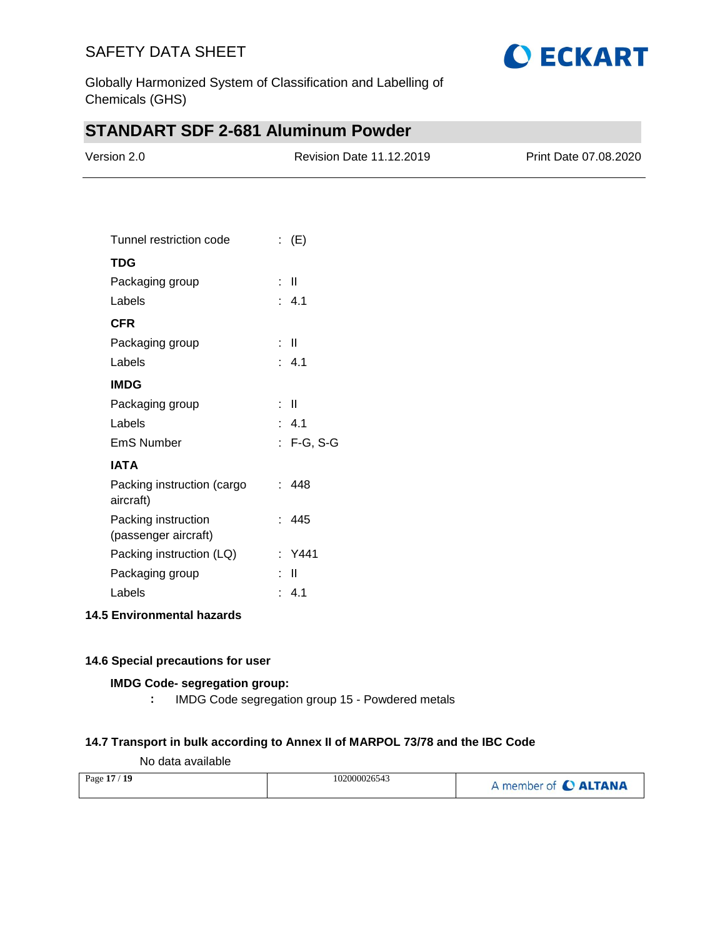

Globally Harmonized System of Classification and Labelling of Chemicals (GHS)

# **STANDART SDF 2-681 Aluminum Powder**

| Version 2.0 | Revision Date 11.12.2019 | Print Date 07.08.2020 |
|-------------|--------------------------|-----------------------|
|             |                          |                       |

| Tunnel restriction code                     | : $(E)$    |
|---------------------------------------------|------------|
| TDG                                         |            |
| Packaging group                             | : II       |
| Labels                                      | : 4.1      |
| <b>CFR</b>                                  |            |
| Packaging group                             | : II       |
| Labels                                      | : 4.1      |
| <b>IMDG</b>                                 |            |
| Packaging group                             | : II       |
| Labels                                      | : 4.1      |
| <b>EmS Number</b>                           | : F-G, S-G |
| <b>IATA</b>                                 |            |
| Packing instruction (cargo<br>aircraft)     | : 448      |
| Packing instruction<br>(passenger aircraft) | : 445      |
| Packing instruction (LQ)                    | : Y441     |
| Packaging group                             | Ш          |
| Labels                                      | : 4.1      |

### **14.5 Environmental hazards**

#### **14.6 Special precautions for user**

#### **IMDG Code- segregation group:**

**:** IMDG Code segregation group 15 - Powdered metals

### **14.7 Transport in bulk according to Annex II of MARPOL 73/78 and the IBC Code**

### No data available

| Page 17 / 19 | 102000026543 | A member of C ALTANA |
|--------------|--------------|----------------------|
|--------------|--------------|----------------------|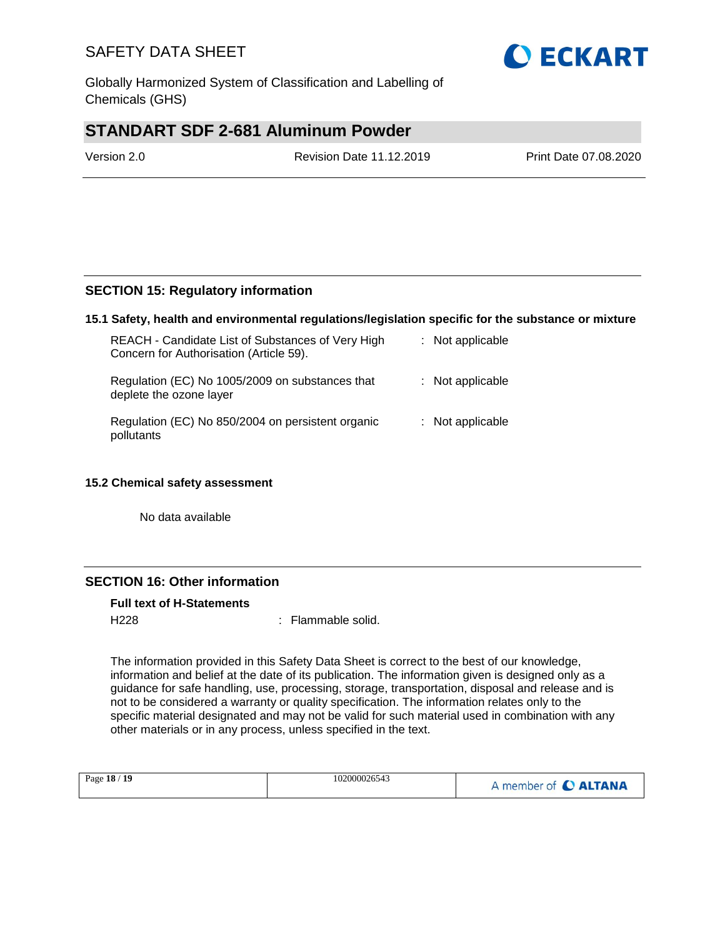

## **STANDART SDF 2-681 Aluminum Powder**

Version 2.0 Revision Date 11.12.2019 Print Date 07.08.2020

### **SECTION 15: Regulatory information**

#### **15.1 Safety, health and environmental regulations/legislation specific for the substance or mixture**

| REACH - Candidate List of Substances of Very High<br>Concern for Authorisation (Article 59). | : Not applicable |
|----------------------------------------------------------------------------------------------|------------------|
| Regulation (EC) No 1005/2009 on substances that<br>deplete the ozone layer                   | : Not applicable |
| Regulation (EC) No 850/2004 on persistent organic<br>pollutants                              | : Not applicable |

### **15.2 Chemical safety assessment**

No data available

### **SECTION 16: Other information**

**Full text of H-Statements**

H<sub>228</sub> : Flammable solid.

The information provided in this Safety Data Sheet is correct to the best of our knowledge, information and belief at the date of its publication. The information given is designed only as a guidance for safe handling, use, processing, storage, transportation, disposal and release and is not to be considered a warranty or quality specification. The information relates only to the specific material designated and may not be valid for such material used in combination with any other materials or in any process, unless specified in the text.

| Page 18 / 19 | 102000026543 | A member of C ALTANA |
|--------------|--------------|----------------------|
|--------------|--------------|----------------------|